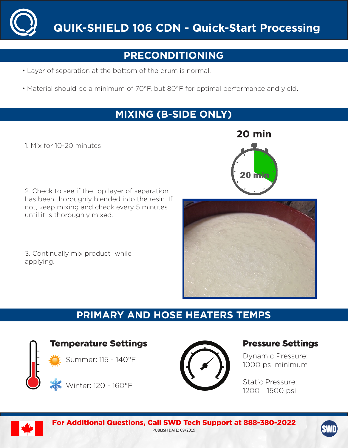

# **PRECONDITIONING**

- Layer of separation at the bottom of the drum is normal.
- Material should be a minimum of 70°F, but 80°F for optimal performance and yield.

## **MIXING (B-SIDE ONLY)**

1. Mix for 10-20 minutes

2. Check to see if the top layer of separation has been thoroughly blended into the resin. If not, keep mixing and check every 5 minutes until it is thoroughly mixed.

3. Continually mix product while applying.

# **PRIMARY AND HOSE HEATERS TEMPS**



Temperature Settings

Summer: 115 - 140°F



Winter: 120 - 160°F



## Pressure Settings

Dynamic Pressure: 1000 psi minimum

Static Pressure: 1200 - 1500 psi

**20 min**



For Additional Questions, Call SWD Tech Support at 888-380-2022 PUBLISH DATE: 09/2019

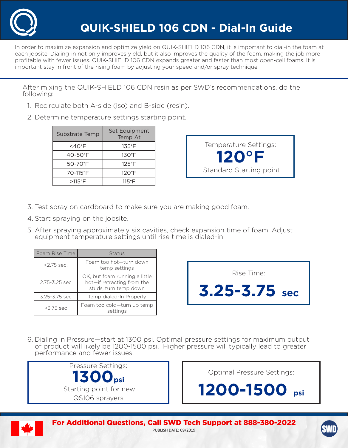

In order to maximize expansion and optimize yield on QUIK-SHIELD 106 CDN, it is important to dial-in the foam at each jobsite. Dialing-in not only improves yield, but it also improves the quality of the foam, making the job more profitable with fewer issues. QUIK-SHIELD 106 CDN expands greater and faster than most open-cell foams. It is important stay in front of the rising foam by adjusting your speed and/or spray technique.

After mixing the QUIK-SHIELD 106 CDN resin as per SWD's recommendations, do the following:

- 1. Recirculate both A-side (iso) and B-side (resin).
- 2. Determine temperature settings starting point.

| Substrate Temp | Set Equipment<br>Temp At |
|----------------|--------------------------|
| $<$ 40°F       | 135°F                    |
| $40 - 50$ °F   | $130^{\circ}$ F          |
| 50-70°F        | $125^{\circ}$ F          |
| 70-115°F       | $120^{\circ}F$           |
| $>115$ °F      | $115^{\circ}$ F          |



- 3. Test spray on cardboard to make sure you are making good foam.
- 4. Start spraying on the jobsite.
- 5. After spraying approximately six cavities, check expansion time of foam. Adjust equipment temperature settings until rise time is dialed-in.

| l Foam Rise Time | Status                                                                               |
|------------------|--------------------------------------------------------------------------------------|
| $2.75$ sec.      | Foam too hot—turn down<br>temp settings                                              |
| 2.75-3.25 sec    | OK, but foam running a little<br>hot-if retracting from the<br>studs, turn temp down |
| 3.25-3.75 sec    | Temp dialed-In Properly                                                              |
| $>3.75$ sec      | Foam too cold-turn up temp<br>settings                                               |

| Rise Time:        |
|-------------------|
| $3.25 - 3.75$ sec |

6. Dialing in Pressure—start at 1300 psi. Optimal pressure settings for maximum output of product will likely be 1200-1500 psi. Higher pressure will typically lead to greater performance and fewer issues.



Optimal Pressure Settings:

**1200-1500 psi**



For Additional Questions, Call SWD Tech Support at 888-380-2022 PUBLISH DATE: 09/2019

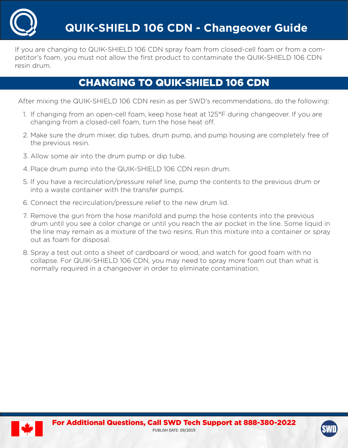

If you are changing to QUIK-SHIELD 106 CDN spray foam from closed-cell foam or from a competitor's foam, you must not allow the first product to contaminate the QUIK-SHIELD 106 CDN resin drum.

## CHANGING TO QUIK-SHIELD 106 CDN

After mixing the QUIK-SHIELD 106 CDN resin as per SWD's recommendations, do the following:

- 1. If changing from an open-cell foam, keep hose heat at 125°F during changeover. If you are changing from a closed-cell foam, turn the hose heat off.
- 2. Make sure the drum mixer, dip tubes, drum pump, and pump housing are completely free of the previous resin.
- 3. Allow some air into the drum pump or dip tube.
- 4. Place drum pump into the QUIK-SHIELD 106 CDN resin drum.
- 5. If you have a recirculation/pressure relief line, pump the contents to the previous drum or into a waste container with the transfer pumps.
- 6. Connect the recirculation/pressure relief to the new drum lid.
- 7. Remove the gun from the hose manifold and pump the hose contents into the previous drum until you see a color change or until you reach the air pocket in the line. Some liquid in the line may remain as a mixture of the two resins. Run this mixture into a container or spray out as foam for disposal.
- 8. Spray a test out onto a sheet of cardboard or wood, and watch for good foam with no collapse. For QUIK-SHIELD 106 CDN, you may need to spray more foam out than what is normally required in a changeover in order to eliminate contamination.



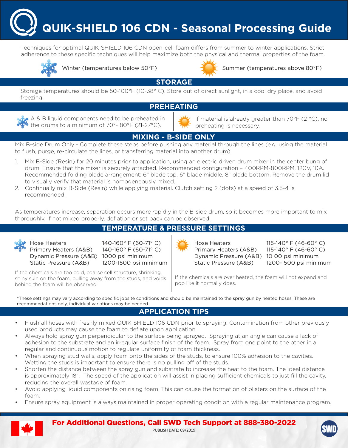**QUIK-SHIELD 106 CDN - Seasonal Processing Guide**

Techniques for optimal QUIK-SHIELD 106 CDN open-cell foam differs from summer to winter applications. Strict adherence to these specific techniques will help maximize both the physical and thermal properties of the foam.





Winter (temperatures below 50°F) Summer (temperatures above 80°F)

**STORAGE**

Storage temperatures should be 50-100°F (10-38° C). Store out of direct sunlight, in a cool dry place, and avoid freezing.

#### **PREHEATING**

A & B liquid components need to be preheated in  $\mathbf{t}$  the drums to a minimum of 70°- 80°F (21-27°C).

If material is already greater than 70°F (21°C), no preheating is necessary.

## **MIXING - B-SIDE ONLY**

Mix B-side Drum Only - Complete these steps before pushing any material through the lines (e.g. using the material to flush, purge, re-circulate the lines, or transferring material into another drum).

- 1. Mix B-Side (Resin) for 20 minutes prior to application, using an electric driven drum mixer in the center bung of drum. Ensure that the mixer is securely attached. Recommended configuration – 400RPM-800RPM, 120V, 10A. Recommended folding blade arrangement: 6" blade top, 6" blade middle, 8" blade bottom. Remove the drum lid to visually verify that material is homogeneously mixed.
- 2. Continually mix B-Side (Resin) while applying material. Clutch setting 2 (dots) at a speed of 3.5-4 is recommended.

As temperatures increase, separation occurs more rapidly in the B-side drum, so it becomes more important to mix thoroughly. If not mixed properly, deflation or set back can be observed.

### **TEMPERATURE & PRESSURE SETTINGS**



Hose Heaters 140-160° F (60-71° C) Primary Heaters (A&B) 140-160° F (60-71° C) Dynamic Pressure (A&B) 1000 psi minimum Static Pressure (A&B) 1200-1500 psi minimum

If the chemicals are too cold, coarse cell structure, shrinking, shiny skin on the foam, pulling away from the studs, and voids behind the foam will be observed.

Hose Heaters 115-140° F (46-60° C) Primary Heaters (A&B)  $115-140^\circ$  F (46-60° C) Dynamic Pressure (A&B) 10 00 psi minimum Static Pressure (A&B) 1200-1500 psi minimum

If the chemicals are over heated, the foam will not expand and pop like it normally does.

\*These settings may vary according to specific jobsite conditions and should be maintained to the spray gun by heated hoses. These are recommendations only, individual variations may be needed.

### **APPLICATION TIPS**

- Flush all hoses with freshly mixed QUIK-SHIELD 106 CDN prior to spraying. Contamination from other previously used products may cause the foam to deflate upon application.
- Always hold spray gun perpendicular to the surface being sprayed. Spraying at an angle can cause a lack of adhesion to the substrate and an irregular surface finish of the foam. Spray from one point to the other in a regular and continuous motion to regulate uniformity of foam thickness.
- When spraying stud walls, apply foam onto the sides of the studs, to ensure 100% adhesion to the cavities. Wetting the studs is important to ensure there is no pulling off of the studs.
- Shorten the distance between the spray gun and substrate to increase the heat to the foam. The ideal distance is approximately 18". The speed of the application will assist in placing sufficient chemicals to just fill the cavity, reducing the overall wastage of foam.
- Avoid applying liquid components on rising foam. This can cause the formation of blisters on the surface of the foam.
- Ensure spray equipment is always maintained in proper operating condition with a regular maintenance program.